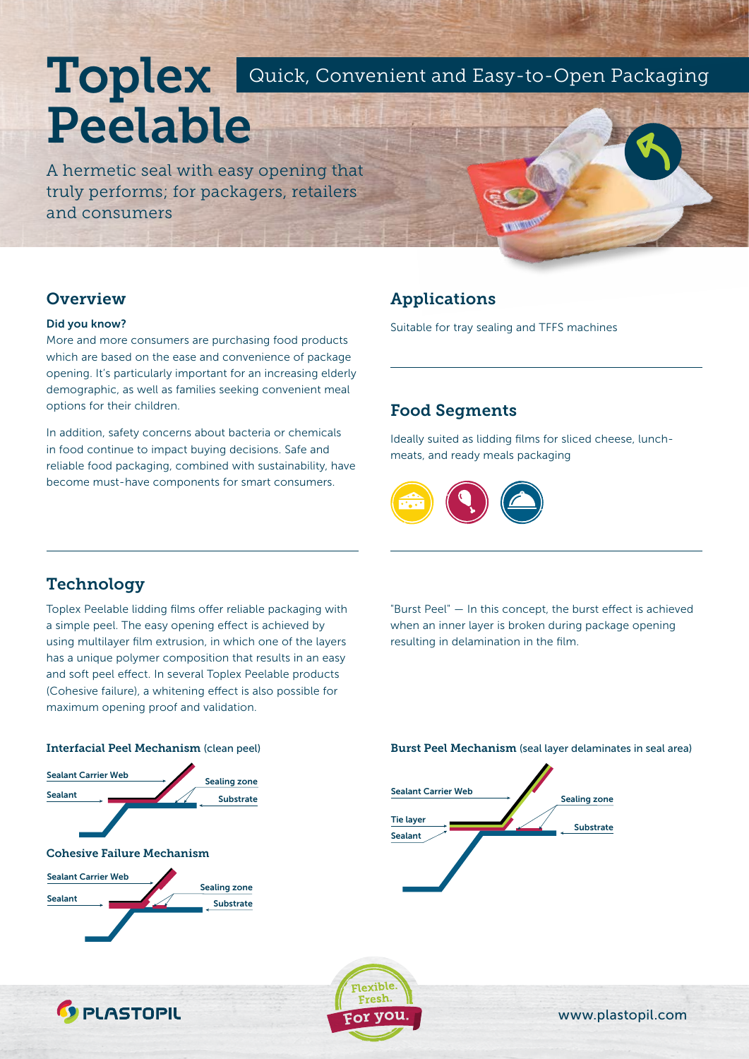# Toplex Peelable Quick, Convenient and Easy-to-Open Packaging

A hermetic seal with easy opening that truly performs; for packagers, retailers and consumers

### **Overview**

### Did you know?

More and more consumers are purchasing food products which are based on the ease and convenience of package opening. It's particularly important for an increasing elderly demographic, as well as families seeking convenient meal options for their children.

In addition, safety concerns about bacteria or chemicals in food continue to impact buying decisions. Safe and reliable food packaging, combined with sustainability, have become must-have components for smart consumers.

### Applications

Suitable for tray sealing and TFFS machines

# Food Segments

Ideally suited as lidding films for sliced cheese, lunchmeats, and ready meals packaging



# **Technology**

Toplex Peelable lidding films offer reliable packaging with a simple peel. The easy opening effect is achieved by using multilayer film extrusion, in which one of the layers has a unique polymer composition that results in an easy and soft peel effect. In several Toplex Peelable products (Cohesive failure), a whitening effect is also possible for maximum opening proof and validation.

"Burst Peel" — In this concept, the burst effect is achieved when an inner layer is broken during package opening resulting in delamination in the film.



**C** PLASTOPIL

Interfacial Peel Mechanism (clean peel) Burst Peel Mechanism (seal layer delaminates in seal area)





www.plastopil.com